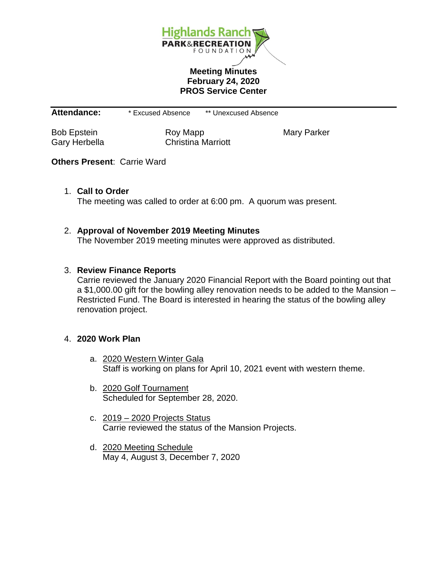

## **Meeting Minutes February 24, 2020 PROS Service Center**

**Attendance:** \* Excused Absence \*\* Unexcused Absence

Bob Epstein **Roy Mapp** Mary Parker Gary Herbella Christina Marriott

# **Others Present**: Carrie Ward

## 1. **Call to Order**

The meeting was called to order at 6:00 pm. A quorum was present.

## 2. **Approval of November 2019 Meeting Minutes**

The November 2019 meeting minutes were approved as distributed.

#### 3. **Review Finance Reports**

Carrie reviewed the January 2020 Financial Report with the Board pointing out that a \$1,000.00 gift for the bowling alley renovation needs to be added to the Mansion – Restricted Fund. The Board is interested in hearing the status of the bowling alley renovation project.

#### 4. **2020 Work Plan**

- a. 2020 Western Winter Gala Staff is working on plans for April 10, 2021 event with western theme.
- b. 2020 Golf Tournament Scheduled for September 28, 2020.
- c. 2019 2020 Projects Status Carrie reviewed the status of the Mansion Projects.
- d. 2020 Meeting Schedule May 4, August 3, December 7, 2020